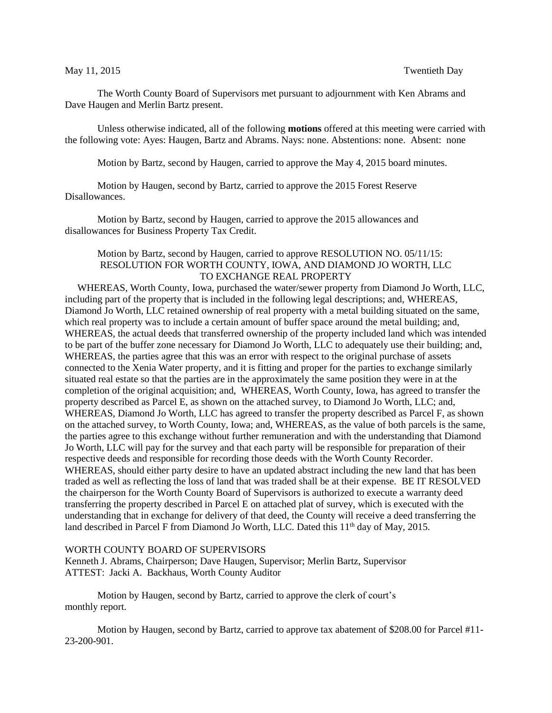The Worth County Board of Supervisors met pursuant to adjournment with Ken Abrams and Dave Haugen and Merlin Bartz present.

Unless otherwise indicated, all of the following **motions** offered at this meeting were carried with the following vote: Ayes: Haugen, Bartz and Abrams. Nays: none. Abstentions: none. Absent: none

Motion by Bartz, second by Haugen, carried to approve the May 4, 2015 board minutes.

Motion by Haugen, second by Bartz, carried to approve the 2015 Forest Reserve Disallowances.

Motion by Bartz, second by Haugen, carried to approve the 2015 allowances and disallowances for Business Property Tax Credit.

## Motion by Bartz, second by Haugen, carried to approve RESOLUTION NO. 05/11/15: RESOLUTION FOR WORTH COUNTY, IOWA, AND DIAMOND JO WORTH, LLC TO EXCHANGE REAL PROPERTY

 WHEREAS, Worth County, Iowa, purchased the water/sewer property from Diamond Jo Worth, LLC, including part of the property that is included in the following legal descriptions; and, WHEREAS, Diamond Jo Worth, LLC retained ownership of real property with a metal building situated on the same, which real property was to include a certain amount of buffer space around the metal building; and, WHEREAS, the actual deeds that transferred ownership of the property included land which was intended to be part of the buffer zone necessary for Diamond Jo Worth, LLC to adequately use their building; and, WHEREAS, the parties agree that this was an error with respect to the original purchase of assets connected to the Xenia Water property, and it is fitting and proper for the parties to exchange similarly situated real estate so that the parties are in the approximately the same position they were in at the completion of the original acquisition; and, WHEREAS, Worth County, Iowa, has agreed to transfer the property described as Parcel E, as shown on the attached survey, to Diamond Jo Worth, LLC; and, WHEREAS, Diamond Jo Worth, LLC has agreed to transfer the property described as Parcel F, as shown on the attached survey, to Worth County, Iowa; and, WHEREAS, as the value of both parcels is the same, the parties agree to this exchange without further remuneration and with the understanding that Diamond Jo Worth, LLC will pay for the survey and that each party will be responsible for preparation of their respective deeds and responsible for recording those deeds with the Worth County Recorder. WHEREAS, should either party desire to have an updated abstract including the new land that has been traded as well as reflecting the loss of land that was traded shall be at their expense. BE IT RESOLVED the chairperson for the Worth County Board of Supervisors is authorized to execute a warranty deed transferring the property described in Parcel E on attached plat of survey, which is executed with the understanding that in exchange for delivery of that deed, the County will receive a deed transferring the land described in Parcel F from Diamond Jo Worth, LLC. Dated this 11<sup>th</sup> day of May, 2015.

## WORTH COUNTY BOARD OF SUPERVISORS

Kenneth J. Abrams, Chairperson; Dave Haugen, Supervisor; Merlin Bartz, Supervisor ATTEST: Jacki A. Backhaus, Worth County Auditor

Motion by Haugen, second by Bartz, carried to approve the clerk of court's monthly report.

Motion by Haugen, second by Bartz, carried to approve tax abatement of \$208.00 for Parcel #11- 23-200-901.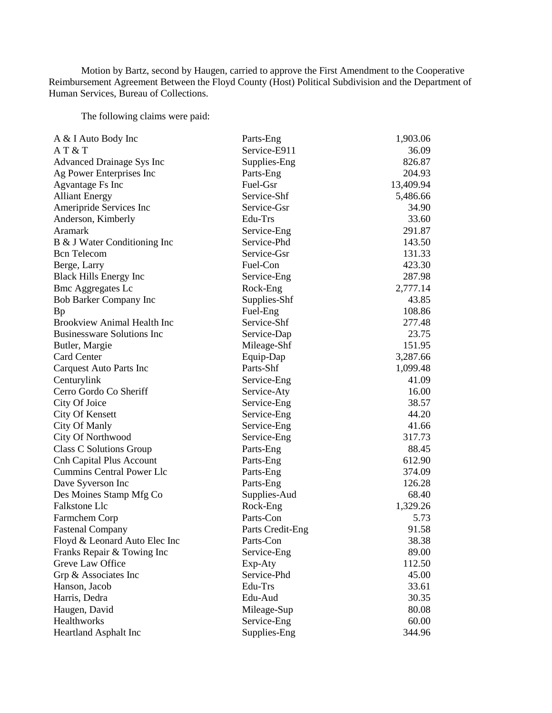Motion by Bartz, second by Haugen, carried to approve the First Amendment to the Cooperative Reimbursement Agreement Between the Floyd County (Host) Political Subdivision and the Department of Human Services, Bureau of Collections.

The following claims were paid:

| A & I Auto Body Inc                | Parts-Eng        | 1,903.06  |
|------------------------------------|------------------|-----------|
| AT&T                               | Service-E911     | 36.09     |
| Advanced Drainage Sys Inc          | Supplies-Eng     | 826.87    |
| Ag Power Enterprises Inc           | Parts-Eng        | 204.93    |
| Agvantage Fs Inc                   | Fuel-Gsr         | 13,409.94 |
| <b>Alliant Energy</b>              | Service-Shf      | 5,486.66  |
| Ameripride Services Inc            | Service-Gsr      | 34.90     |
| Anderson, Kimberly                 | Edu-Trs          | 33.60     |
| Aramark                            | Service-Eng      | 291.87    |
| B & J Water Conditioning Inc       | Service-Phd      | 143.50    |
| <b>Bcn</b> Telecom                 | Service-Gsr      | 131.33    |
| Berge, Larry                       | Fuel-Con         | 423.30    |
| <b>Black Hills Energy Inc</b>      | Service-Eng      | 287.98    |
| <b>Bmc Aggregates Lc</b>           | Rock-Eng         | 2,777.14  |
| <b>Bob Barker Company Inc</b>      | Supplies-Shf     | 43.85     |
| <b>Bp</b>                          | Fuel-Eng         | 108.86    |
| <b>Brookview Animal Health Inc</b> | Service-Shf      | 277.48    |
| <b>Businessware Solutions Inc</b>  | Service-Dap      | 23.75     |
| Butler, Margie                     | Mileage-Shf      | 151.95    |
| <b>Card Center</b>                 | Equip-Dap        | 3,287.66  |
| <b>Carquest Auto Parts Inc</b>     | Parts-Shf        | 1,099.48  |
| Centurylink                        | Service-Eng      | 41.09     |
| Cerro Gordo Co Sheriff             | Service-Aty      | 16.00     |
| City Of Joice                      | Service-Eng      | 38.57     |
| <b>City Of Kensett</b>             | Service-Eng      | 44.20     |
| City Of Manly                      | Service-Eng      | 41.66     |
| City Of Northwood                  | Service-Eng      | 317.73    |
| Class C Solutions Group            | Parts-Eng        | 88.45     |
| <b>Cnh Capital Plus Account</b>    | Parts-Eng        | 612.90    |
| <b>Cummins Central Power Llc</b>   | Parts-Eng        | 374.09    |
| Dave Syverson Inc                  | Parts-Eng        | 126.28    |
| Des Moines Stamp Mfg Co            | Supplies-Aud     | 68.40     |
| <b>Falkstone Llc</b>               | Rock-Eng         | 1,329.26  |
| Farmchem Corp                      | Parts-Con        | 5.73      |
| <b>Fastenal Company</b>            | Parts Credit-Eng | 91.58     |
| Floyd & Leonard Auto Elec Inc      | Parts-Con        | 38.38     |
| Franks Repair & Towing Inc         | Service-Eng      | 89.00     |
| Greve Law Office                   | Exp-Aty          | 112.50    |
| Grp & Associates Inc               | Service-Phd      | 45.00     |
| Hanson, Jacob                      | Edu-Trs          | 33.61     |
| Harris, Dedra                      | Edu-Aud          | 30.35     |
| Haugen, David                      | Mileage-Sup      | 80.08     |
| Healthworks                        | Service-Eng      | 60.00     |
| Heartland Asphalt Inc              | Supplies-Eng     | 344.96    |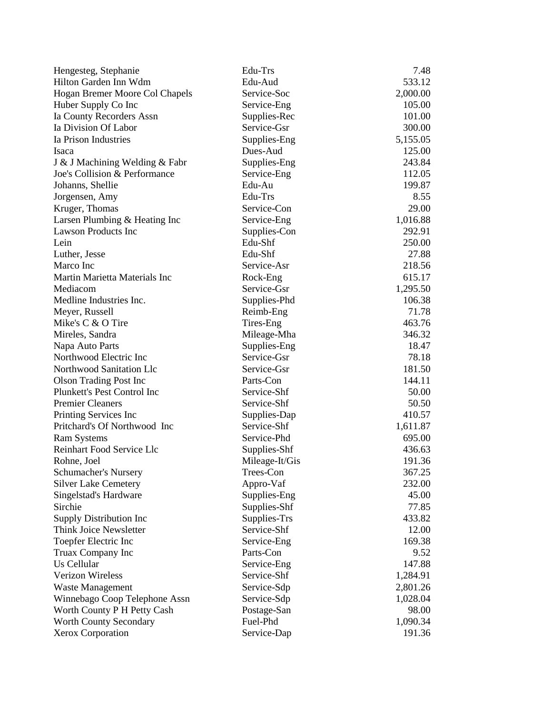| Hengesteg, Stephanie           | Edu-Trs        | 7.48     |
|--------------------------------|----------------|----------|
| Hilton Garden Inn Wdm          | Edu-Aud        | 533.12   |
| Hogan Bremer Moore Col Chapels | Service-Soc    | 2,000.00 |
| Huber Supply Co Inc            | Service-Eng    | 105.00   |
| Ia County Recorders Assn       | Supplies-Rec   | 101.00   |
| Ia Division Of Labor           | Service-Gsr    | 300.00   |
| Ia Prison Industries           | Supplies-Eng   | 5,155.05 |
| <b>Isaca</b>                   | Dues-Aud       | 125.00   |
| J & J Machining Welding & Fabr | Supplies-Eng   | 243.84   |
| Joe's Collision & Performance  | Service-Eng    | 112.05   |
| Johanns, Shellie               | Edu-Au         | 199.87   |
| Jorgensen, Amy                 | Edu-Trs        | 8.55     |
| Kruger, Thomas                 | Service-Con    | 29.00    |
| Larsen Plumbing & Heating Inc  | Service-Eng    | 1,016.88 |
| <b>Lawson Products Inc</b>     | Supplies-Con   | 292.91   |
| Lein                           | Edu-Shf        | 250.00   |
| Luther, Jesse                  | Edu-Shf        | 27.88    |
| Marco Inc                      | Service-Asr    | 218.56   |
| Martin Marietta Materials Inc  | Rock-Eng       | 615.17   |
| Mediacom                       | Service-Gsr    | 1,295.50 |
| Medline Industries Inc.        | Supplies-Phd   | 106.38   |
| Meyer, Russell                 | Reimb-Eng      | 71.78    |
| Mike's C & O Tire              | Tires-Eng      | 463.76   |
| Mireles, Sandra                | Mileage-Mha    | 346.32   |
| Napa Auto Parts                | Supplies-Eng   | 18.47    |
| Northwood Electric Inc         | Service-Gsr    | 78.18    |
| Northwood Sanitation Llc       | Service-Gsr    | 181.50   |
| <b>Olson Trading Post Inc</b>  | Parts-Con      | 144.11   |
| Plunkett's Pest Control Inc    | Service-Shf    | 50.00    |
| <b>Premier Cleaners</b>        | Service-Shf    | 50.50    |
| Printing Services Inc          | Supplies-Dap   | 410.57   |
| Pritchard's Of Northwood Inc   | Service-Shf    | 1,611.87 |
| <b>Ram Systems</b>             | Service-Phd    | 695.00   |
| Reinhart Food Service Llc      | Supplies-Shf   | 436.63   |
| Rohne, Joel                    | Mileage-It/Gis | 191.36   |
| Schumacher's Nursery           | Trees-Con      | 367.25   |
| <b>Silver Lake Cemetery</b>    | Appro-Vaf      | 232.00   |
| Singelstad's Hardware          | Supplies-Eng   | 45.00    |
| Sirchie                        | Supplies-Shf   | 77.85    |
| Supply Distribution Inc        | Supplies-Trs   | 433.82   |
| Think Joice Newsletter         | Service-Shf    | 12.00    |
| Toepfer Electric Inc           | Service-Eng    | 169.38   |
| Truax Company Inc              | Parts-Con      | 9.52     |
| Us Cellular                    | Service-Eng    | 147.88   |
| <b>Verizon Wireless</b>        | Service-Shf    | 1,284.91 |
| <b>Waste Management</b>        | Service-Sdp    | 2,801.26 |
| Winnebago Coop Telephone Assn  | Service-Sdp    | 1,028.04 |
| Worth County P H Petty Cash    | Postage-San    | 98.00    |
| <b>Worth County Secondary</b>  | Fuel-Phd       | 1,090.34 |
| <b>Xerox Corporation</b>       | Service-Dap    | 191.36   |